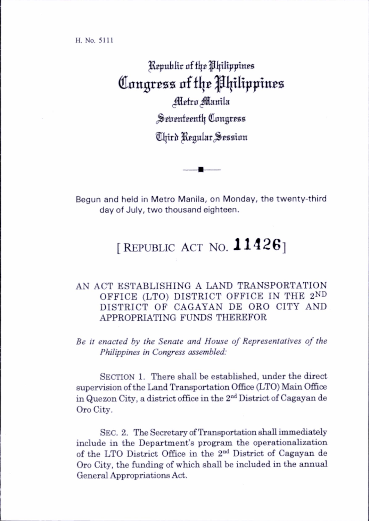H. No. 5111

Republic of the Philippines Congress of the Philippines Metro Manila Seirenteenth Congress Third Regular Session

Begun and held in Metro Manila, on Monday, the twenty-third day of July, two thousand eighteen.

## [REPUBLIC ACT NO.  $11426$ ]

## AN ACT ESTABLISHING A LAND TRANSPORTATION OFFICE (LTO) DISTRICT OFFICE IN THE 2ND DISTRICT OF CAGAYAN DE ORO CITY AND APPROPRIATING FUNDS THEREFOR

Be it enacted by the Senate and House of Representatives of the Philippines in Congress assembled:

SECTION 1. There shall be established, under the direct supervision of the Land Transportation Office (LTO) Main Office in Quezon City, a district office in the 2nd District of Cagayan de Oro City.

SEC. 2. The Secretary of Transportation shall immediately include in the Department's program the operationalization of the LTO District Office in the 2nd District of Cagayan de Oro City, the funding of which shall be included in the annual General Appropriations Act.